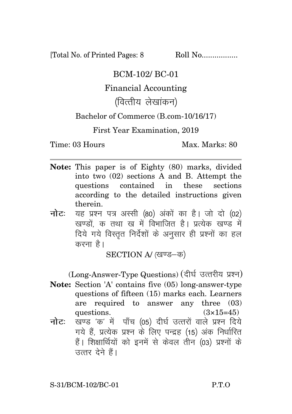[Total No. of Printed Pages: 8 Roll No.................

### BCM-102/ BC-01

# Financial Accounting

# (वित्तीय लेखांकन)

## Bachelor of Commerce (B.com-10/16/17)

### First Year Examination, 2019

Time: 03 Hours Max. Marks: 80

- **Note:** This paper is of Eighty (80) marks, divided into two (02) sections A and B. Attempt the questions contained in these sections according to the detailed instructions given therein.
- **नोट:** यह प्रश्न पत्र अस्सी (80) अंकों का है। जो दो (02) खण्डों, क तथा ख में विभाजित है। प्रत्येक खण्ड में दिये गये विस्तत निर्देशों के अनसार ही प्रश्नों का हल करना $\hat{g}$ ।

SECTION A/ (खण्ड-क)

(Long-Answer-Type Questions) (दीर्घ उत्तरीय प्रश्न)

- **Note:** Section 'A' contains five (05) long-answer-type questions of fifteen (15) marks each. Learners are required to answer any three (03) questions.  $(3\times15=45)$
- **नोट:** खण्ड 'क' में पाँच (05) दीर्घ उत्तरों वाले प्रश्न दिये गये हैं, प्रत्येक प्रश्न के लिए पन्द्रह (15) अंक निर्धारित हैं। शिक्षार्थियों को इनमें से केवल तीन (03) प्रश्नों के उत्तर देने हैं।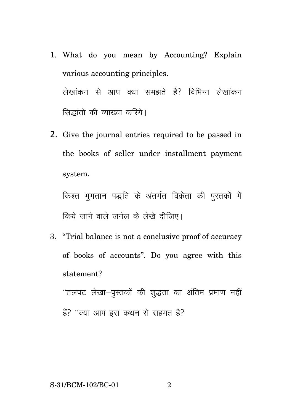- 1. What do you mean by Accounting? Explain various accounting principles. लेखांकन से आप क्या समझते हैं? विभिन्न लेखांकन सिद्धांतो की व्याख्या करिये।
- 2. Give the journal entries required to be passed in the books of seller under installment payment system.

किश्त भूगतान पद्धति के अंतर्गत विक्रेता की पुस्तकों में क्रिये जाने वाले जर्नल के लेखे दीजिए।

3. "Trial balance is not a conclusive proof of accuracy of books of accounts". Do you agree with this statement?

 $^{\prime\prime}$ तलपट लेखा-पुस्तकों की शुद्धता का अंतिम प्रमाण नहीं हैं? ''क्या आप इस कथन से सहमत है?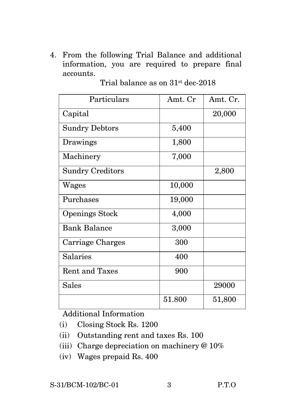4. From the following Trial Balance and additional information, you are required to prepare final accounts.

| Particulars             | Amt. Cr | Amt. Cr. |
|-------------------------|---------|----------|
| Capital                 |         | 20,000   |
| <b>Sundry Debtors</b>   | 5,400   |          |
| Drawings                | 1,800   |          |
| Machinery               | 7,000   |          |
| <b>Sundry Creditors</b> |         | 2,800    |
| Wages                   | 10,000  |          |
| Purchases               | 19,000  |          |
| <b>Openings Stock</b>   | 4,000   |          |
| <b>Bank Balance</b>     | 3,000   |          |
| Carriage Charges        | 300     |          |
| Salaries                | 400     |          |
| <b>Rent and Taxes</b>   | 900     |          |
| <b>Sales</b>            |         | 29000    |
|                         | 51.800  | 51,800   |

Trial balance as on 31st dec-2018

Additional Information

- (i) Closing Stock Rs. 1200
- (ii) Outstanding rent and taxes Rs. 100
- (iii) Charge depreciation on machinery @ 10%
- (iv) Wages prepaid Rs. 400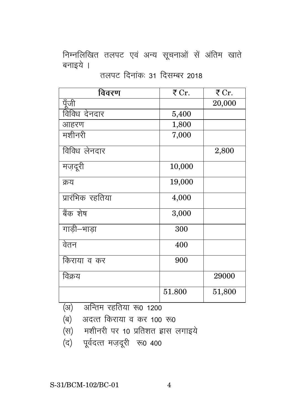निम्नलिखित तलपट एवं अन्य सूचनाओं सें अंतिम खाते बनाइये ।

तलपट दिनांकः 31 दिसम्बर 2018

| विवरण            | ₹ Cr.  | ₹ Cr.  |
|------------------|--------|--------|
| पूँजी            |        | 20,000 |
| विविध देनदार     | 5,400  |        |
| आहरण             | 1,800  |        |
| मशीनरी           | 7,000  |        |
| विविध लेनदार     |        | 2,800  |
| मज़दूरी          | 10,000 |        |
| क्रय             | 19,000 |        |
| प्रारंभिक रहतिया | 4,000  |        |
| बैंक शेष         | 3,000  |        |
| गाडी–भाड़ा       | 300    |        |
| वेतन             | 400    |        |
| किराया व कर      | 900    |        |
| विक्रय           |        | 29000  |
|                  | 51.800 | 51,800 |

(द) पूर्वदत्त मज़दूरी रू0 400

- 
- (अ) अन्तिम रहतिया रू0 1200  $\overline{q}$  and  $\overline{q}$  and  $\overline{q}$  or  $\overline{q}$  or  $\overline{q}$  or  $\overline{q}$  or  $\overline{q}$  or  $\overline{q}$  or  $\overline{q}$  or  $\overline{q}$  or  $\overline{q}$  or  $\overline{q}$  or  $\overline{q}$  or  $\overline{q}$  or  $\overline{q}$  or  $\overline{q}$  or  $\overline{q}$  or  $\overline{q}$  or  $\$

(स) मशीनरी पर 10 प्रतिशत ह्रास लगाइये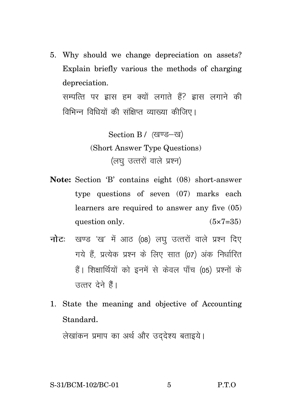5. Why should we change depreciation on assets? Explain briefly various the methods of charging depreciation. सम्पत्ति पर द्वास हम क्यों लगाते हैं? द्वास लगाने की विभिन्न विधियों की संक्षिप्त व्याख्या कीजिए।

> Section B / (खण्ड-ख) (Short Answer Type Questions) (लघु उत्तरों वाले प्रश्न)

- **Note:** Section 'B' contains eight (08) short-answer type questions of seven (07) marks each learners are required to answer any five (05) question only.  $(5 \times 7 = 35)$
- **नोट:** खण्ड 'ख' में आठ (08) लघ उत्तरों वाले प्रश्न दिए गये हैं. प्रत्येक प्रश्न के लिए सात (07) अंक निर्धारित हैं। शिक्षार्थियों को इनमें से केवल पाँच (05) प्रश्नों के सत्तर देने हैं।
- 1. State the meaning and objective of Accounting Standard.

लेखांकन प्रमाप का अर्थ और उददेश्य बताइये।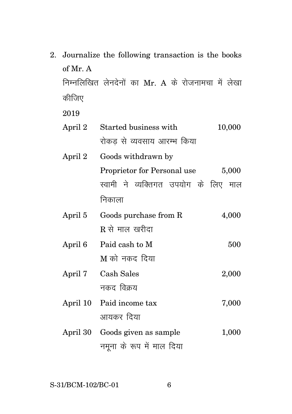2. Journalize the following transaction is the books of Mr. A निम्नलिखित लेनदेनों का Mr. A के रोजनामचा में लेखा कीजिए

2019

| April 2 | Started business with                | 10,000 |
|---------|--------------------------------------|--------|
|         | रोकड से व्यवसाय आरम्भ किया           |        |
| April 2 | Goods withdrawn by                   |        |
|         | Proprietor for Personal use          | 5,000  |
|         | स्वामी ने व्यक्तिगत उपयोग के लिए माल |        |
|         | निकाला                               |        |
| April 5 | Goods purchase from R                | 4,000  |
|         | $R$ से माल खरीदा                     |        |
| April 6 | Paid cash to M                       | 500    |
|         | M को नकद दिया                        |        |
|         |                                      |        |

- April 7 Cash Sales 2,000 नकद विक्रय
- April 10 Paid income tax 7,000 आयकर दिया
- April 30 Goods given as sample 1,000 नमूना के रूप में माल दिया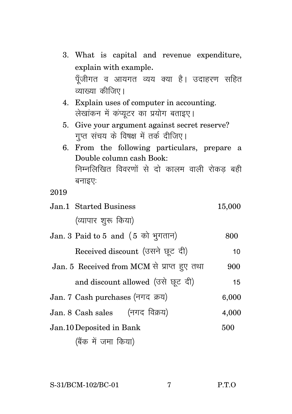- 3. What is capital and revenue expenditure, explain with example. पूँजीगत व आयगत व्यय क्या है। उदाहरण सहित व्याख्या कीजिए।
- 4. Explain uses of computer in accounting. लेखांकन में कंप्यटर का प्रयोग बताइए।
- 5. Give your argument against secret reserve? गुप्त संचय के विषक्ष में तर्क दीजिए।
- 6. From the following particulars, prepare a Double column cash Book: निम्नलिखित विवरणों से दो कालम वाली रोकड बही बनाइएः

2019

- Jan.1 Started Business 15,000 (व्यापार शरू किया)
- $Jan. 3$  Paid to  $5$  and  $(5 \text{ m})$   $H(\text{m})$   $800$ 
	- Received discount (उसने छट दी) हैं । 10
- Jan. 5 Received from MCM से प्राप्त हुए तथा 900
	- and discount allowed (उसे छूट दी) वालिया
- $Jan. 7$  Cash purchases (नगद क्रय)  $6.000$
- $Jan. 8 \text{ Cash sales}$  (नगद विक्रय) 4,000
- Jan.10Deposited in Bank 500

(बैंक में जमा किया)